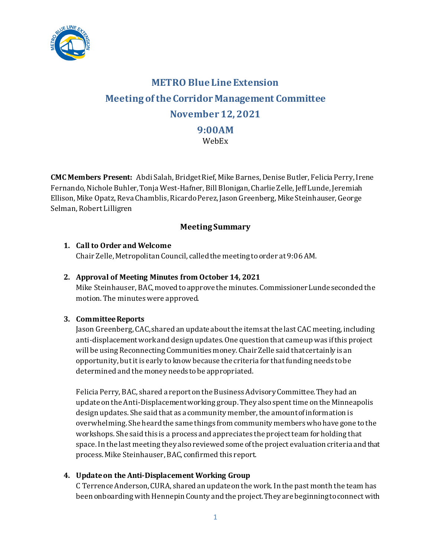

# **METRO Blue Line Extension Meeting of theCorridor Management Committee November 12, 2021 9:00AM** WebEx

**CMC Members Present:** Abdi Salah, Bridget Rief, Mike Barnes, Denise Butler, Felicia Perry,Irene Fernando, Nichole Buhler, Tonja West-Hafner, Bill Blonigan, Charlie Zelle, Jeff Lunde, Jeremiah Ellison, Mike Opatz, Reva Chamblis, Ricardo Perez, Jason Greenberg, Mike Steinhauser, George Selman, Robert Lilligren

## **Meeting Summary**

## **1. Call to Order and Welcome**

Chair Zelle, Metropolitan Council, called the meeting to order at 9:06 AM.

### **2. Approval of Meeting Minutes from October 14, 2021**

Mike Steinhauser, BAC, moved to approve the minutes. Commissioner Lundeseconded the motion. The minutes were approved.

## **3. Committee Reports**

Jason Greenberg, CAC,shared an update about the items at the last CAC meeting, including anti-displacement workand design updates. One question that came up was if this project will be using Reconnecting Communities money. Chair Zelle said that certainly is an opportunity, but it is early to know because the criteria for that funding needs to be determined and the money needs to be appropriated.

Felicia Perry, BAC, shared a report on the Business Advisory Committee. They had an update on the Anti-Displacement working group. They also spent time on the Minneapolis design updates. She said that as a community member, the amount of information is overwhelming. She heard the same things from community members who have gone to the workshops. She said this is a process and appreciates the project team for holding that space. In the last meeting they also reviewed some of the project evaluation criteria and that process. Mike Steinhauser, BAC, confirmed this report.

## **4. Update on the Anti-Displacement Working Group**

C TerrenceAnderson, CURA, shared an update on the work. In the past month the team has been onboarding with Hennepin County and the project. They are beginning to connect with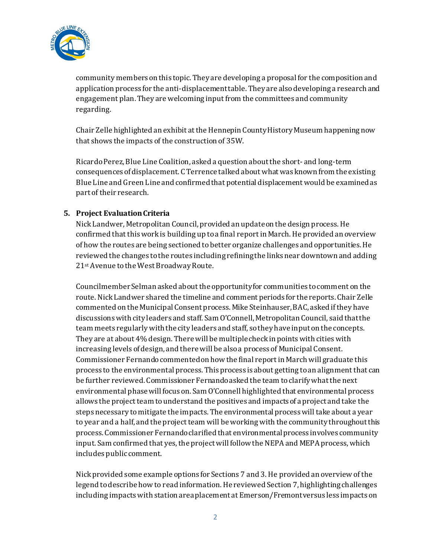

community members on this topic. They are developing a proposal for the composition and application process for the anti-displacement table. They are also developing a research and engagement plan. They are welcoming input from the committees and community regarding.

Chair Zelle highlighted an exhibit at the Hennepin County History Museum happening now that shows the impacts of the construction of 35W.

Ricardo Perez, Blue Line Coalition, asked a question about the short- and long-term consequences of displacement. C Terrence talked about what was known from the existing Blue Line and Green Line and confirmed that potential displacement would be examined as part of their research.

#### **5. Project Evaluation Criteria**

Nick Landwer, Metropolitan Council, provided an update on the design process. He confirmed that this work is building up to a final report in March. He provided an overview of how the routes are being sectioned to better organize challenges and opportunities. He reviewed the changes to the routes including refining the links near downtown and adding 21st Avenue to the West Broadway Route.

Councilmember Selman asked about the opportunity for communities to comment on the route. Nick Landwer shared the timeline and comment periods for the reports. Chair Zelle commented on the Municipal Consent process. Mike Steinhauser, BAC, asked if they have discussionswith city leaders and staff. Sam O'Connell, Metropolitan Council, said that the team meets regularly with the city leaders and staff, so they have input on the concepts. They are at about 4% design. There will be multiple check in points with cities with increasing levels of design, and there will be also a process of Municipal Consent. Commissioner Fernando commented on how the final report in March will graduate this process to the environmental process. This process is about getting to an alignment that can be further reviewed. Commissioner Fernando asked the team to clarify what the next environmental phase will focus on. Sam O'Connell highlighted that environmental process allows the project team to understand the positives and impacts of a project and take the steps necessary to mitigate the impacts. The environmental process will take about a year to year and a half, and the project team will be working with the community throughout this process. Commissioner Fernando clarified that environmental process involves community input. Sam confirmed that yes, the project will follow the NEPA and MEPA process, which includes public comment.

Nick provided some example options for Sections 7 and 3. He provided an overview of the legend to describe how to read information. He reviewed Section 7, highlighting challenges including impacts with station area placement at Emerson/Fremont versus less impacts on